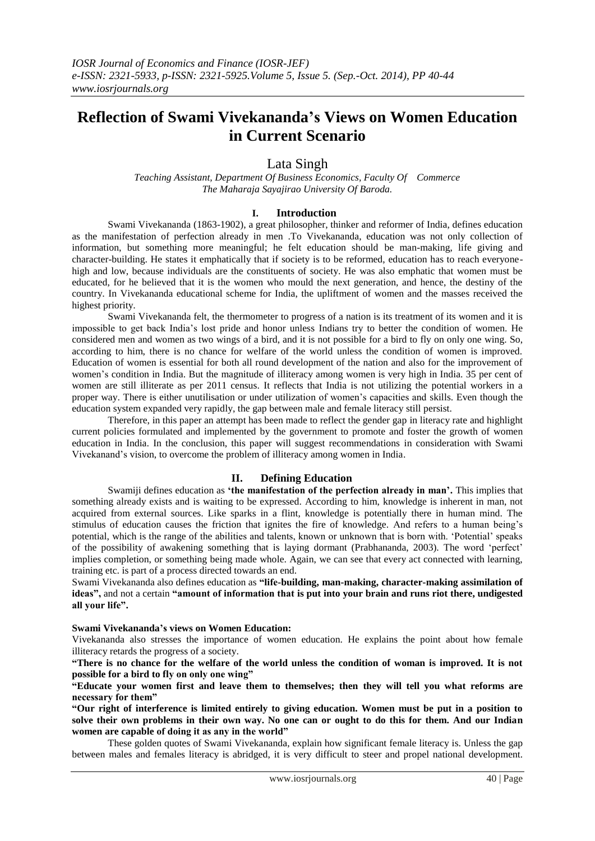# **Reflection of Swami Vivekananda"s Views on Women Education in Current Scenario**

# Lata Singh

*Teaching Assistant, Department Of Business Economics, Faculty Of Commerce The Maharaja Sayajirao University Of Baroda.*

## **I. Introduction**

Swami Vivekananda (1863-1902), a great philosopher, thinker and reformer of India, defines education as the manifestation of perfection already in men .To Vivekananda, education was not only collection of information, but something more meaningful; he felt education should be man-making, life giving and character-building. He states it emphatically that if society is to be reformed, education has to reach everyonehigh and low, because individuals are the constituents of society. He was also emphatic that women must be educated, for he believed that it is the women who mould the next generation, and hence, the destiny of the country. In Vivekananda educational scheme for India, the upliftment of women and the masses received the highest priority.

Swami Vivekananda felt, the thermometer to progress of a nation is its treatment of its women and it is impossible to get back India's lost pride and honor unless Indians try to better the condition of women. He considered men and women as two wings of a bird, and it is not possible for a bird to fly on only one wing. So, according to him, there is no chance for welfare of the world unless the condition of women is improved. Education of women is essential for both all round development of the nation and also for the improvement of women's condition in India. But the magnitude of illiteracy among women is very high in India. 35 per cent of women are still illiterate as per 2011 census. It reflects that India is not utilizing the potential workers in a proper way. There is either unutilisation or under utilization of women's capacities and skills. Even though the education system expanded very rapidly, the gap between male and female literacy still persist.

Therefore, in this paper an attempt has been made to reflect the gender gap in literacy rate and highlight current policies formulated and implemented by the government to promote and foster the growth of women education in India. In the conclusion, this paper will suggest recommendations in consideration with Swami Vivekanand's vision, to overcome the problem of illiteracy among women in India.

# **II. Defining Education**

Swamiji defines education as **"the manifestation of the perfection already in man".** This implies that something already exists and is waiting to be expressed. According to him, knowledge is inherent in man, not acquired from external sources. Like sparks in a flint, knowledge is potentially there in human mind. The stimulus of education causes the friction that ignites the fire of knowledge. And refers to a human being's potential, which is the range of the abilities and talents, known or unknown that is born with. ‗Potential' speaks of the possibility of awakening something that is laying dormant (Prabhananda, 2003). The word 'perfect' implies completion, or something being made whole. Again, we can see that every act connected with learning, training etc. is part of a process directed towards an end.

Swami Vivekananda also defines education as **"life-building, man-making, character-making assimilation of ideas",** and not a certain **"amount of information that is put into your brain and runs riot there, undigested all your life".**

### **Swami Vivekananda"s views on Women Education:**

Vivekananda also stresses the importance of women education. He explains the point about how female illiteracy retards the progress of a society.

**"There is no chance for the welfare of the world unless the condition of woman is improved. It is not possible for a bird to fly on only one wing"**

**"Educate your women first and leave them to themselves; then they will tell you what reforms are necessary for them"**

**"Our right of interference is limited entirely to giving education. Women must be put in a position to solve their own problems in their own way. No one can or ought to do this for them. And our Indian women are capable of doing it as any in the world"**

These golden quotes of Swami Vivekananda, explain how significant female literacy is. Unless the gap between males and females literacy is abridged, it is very difficult to steer and propel national development.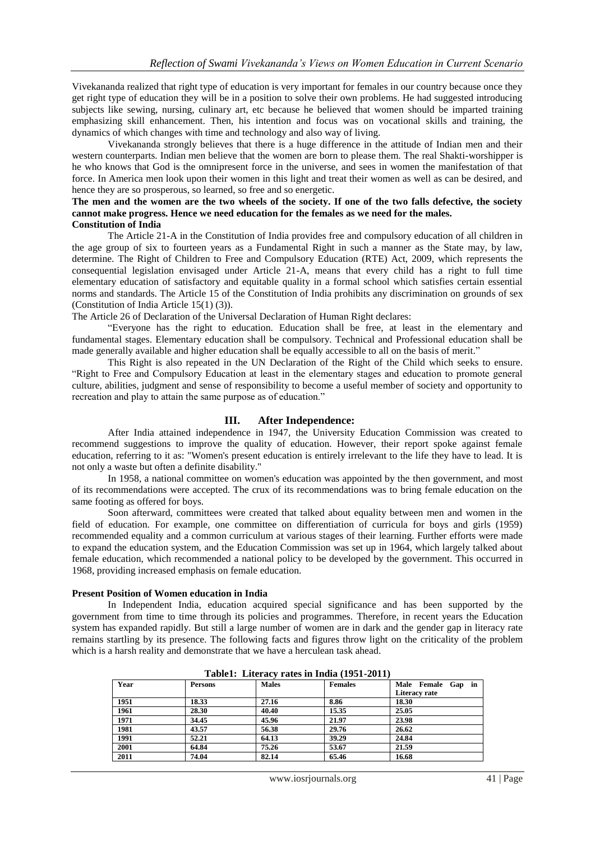Vivekananda realized that right type of education is very important for females in our country because once they get right type of education they will be in a position to solve their own problems. He had suggested introducing subjects like sewing, nursing, culinary art, etc because he believed that women should be imparted training emphasizing skill enhancement. Then, his intention and focus was on vocational skills and training, the dynamics of which changes with time and technology and also way of living.

Vivekananda strongly believes that there is a huge difference in the attitude of Indian men and their western counterparts. Indian men believe that the women are born to please them. The real Shakti-worshipper is he who knows that God is the omnipresent force in the universe, and sees in women the manifestation of that force. In America men look upon their women in this light and treat their women as well as can be desired, and hence they are so prosperous, so learned, so free and so energetic.

#### **The men and the women are the two wheels of the society. If one of the two falls defective, the society cannot make progress. Hence we need education for the females as we need for the males. Constitution of India**

The Article 21-A in the Constitution of India provides free and compulsory education of all children in the age group of six to fourteen years as a Fundamental Right in such a manner as the State may, by law, determine. The Right of Children to Free and Compulsory Education (RTE) Act, 2009, which represents the consequential legislation envisaged under Article 21-A, means that every child has a right to full time elementary education of satisfactory and equitable quality in a formal school which satisfies certain essential norms and standards. The Article 15 of the Constitution of India prohibits any discrimination on grounds of sex (Constitution of India Article 15(1) (3)).

The Article 26 of Declaration of the Universal Declaration of Human Right declares:

―Everyone has the right to education. Education shall be free, at least in the elementary and fundamental stages. Elementary education shall be compulsory. Technical and Professional education shall be made generally available and higher education shall be equally accessible to all on the basis of merit."

This Right is also repeated in the UN Declaration of the Right of the Child which seeks to ensure. ―Right to Free and Compulsory Education at least in the elementary stages and education to promote general culture, abilities, judgment and sense of responsibility to become a useful member of society and opportunity to recreation and play to attain the same purpose as of education."

# **III. After Independence:**

After India attained independence in 1947, the University Education Commission was created to recommend suggestions to improve the quality of education. However, their report spoke against female education, referring to it as: "Women's present education is entirely irrelevant to the life they have to lead. It is not only a waste but often a definite disability."

In 1958, a national committee on women's education was appointed by the then government, and most of its recommendations were accepted. The crux of its recommendations was to bring female education on the same footing as offered for boys.

Soon afterward, committees were created that talked about equality between men and women in the field of education. For example, one committee on differentiation of curricula for boys and girls (1959) recommended equality and a common curriculum at various stages of their learning. Further efforts were made to expand the education system, and the Education Commission was set up in 1964, which largely talked about female education, which recommended a national policy to be developed by the government. This occurred in 1968, providing increased emphasis on female education.

#### **Present Position of Women education in India**

In Independent India, education acquired special significance and has been supported by the government from time to time through its policies and programmes. Therefore, in recent years the Education system has expanded rapidly. But still a large number of women are in dark and the gender gap in literacy rate remains startling by its presence. The following facts and figures throw light on the criticality of the problem which is a harsh reality and demonstrate that we have a herculean task ahead.

| $1400x1$ , $200x140$ , $1400$ , $1100x1$ , $1201$ , $2011$ |                |              |                |                    |  |  |  |  |  |  |
|------------------------------------------------------------|----------------|--------------|----------------|--------------------|--|--|--|--|--|--|
| Year                                                       | <b>Persons</b> | <b>Males</b> | <b>Females</b> | Male Female Gap in |  |  |  |  |  |  |
|                                                            |                |              |                | Literacy rate      |  |  |  |  |  |  |
| 1951                                                       | 18.33          | 27.16        | 8.86           | 18.30              |  |  |  |  |  |  |
| 1961                                                       | 28.30          | 40.40        | 15.35          | 25.05              |  |  |  |  |  |  |
| 1971                                                       | 34.45          | 45.96        | 21.97          | 23.98              |  |  |  |  |  |  |
| 1981                                                       | 43.57          | 56.38        | 29.76          | 26.62              |  |  |  |  |  |  |
| 1991                                                       | 52.21          | 64.13        | 39.29          | 24.84              |  |  |  |  |  |  |
| 2001                                                       | 64.84          | 75.26        | 53.67          | 21.59              |  |  |  |  |  |  |
| 2011                                                       | 74.04          | 82.14        | 65.46          | 16.68              |  |  |  |  |  |  |

**Table1: Literacy rates in India (1951-2011)**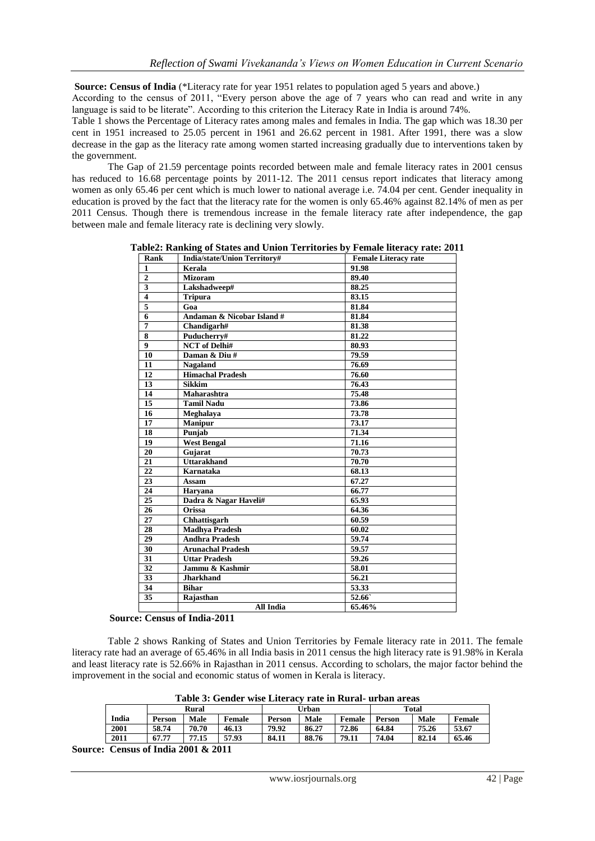**Source: Census of India** (\*Literacy rate for year 1951 relates to population aged 5 years and above.)

According to the census of 2011, "Every person above the age of 7 years who can read and write in any language is said to be literate". According to this criterion the Literacy Rate in India is around 74%.

Table 1 shows the Percentage of Literacy rates among males and females in India. The gap which was 18.30 per cent in 1951 increased to 25.05 percent in 1961 and 26.62 percent in 1981. After 1991, there was a slow decrease in the gap as the literacy rate among women started increasing gradually due to interventions taken by the government.

The Gap of 21.59 percentage points recorded between male and female literacy rates in 2001 census has reduced to 16.68 percentage points by 2011-12. The 2011 census report indicates that literacy among women as only 65.46 per cent which is much lower to national average i.e. 74.04 per cent. Gender inequality in education is proved by the fact that the literacy rate for the women is only 65.46% against 82.14% of men as per 2011 Census. Though there is tremendous increase in the female literacy rate after independence, the gap between male and female literacy rate is declining very slowly.

| Rank                    | <b>India/state/Union Territory#</b> | <b>Female Literacy rate</b> |
|-------------------------|-------------------------------------|-----------------------------|
| $\mathbf{1}$            | Kerala                              | 91.98                       |
| $\overline{2}$          | <b>Mizoram</b>                      | 89.40                       |
| $\overline{\mathbf{3}}$ | Lakshadweep#                        | 88.25                       |
| $\overline{\mathbf{4}}$ | <b>Tripura</b>                      | 83.15                       |
| $\overline{5}$          | Goa                                 | 81.84                       |
| 6                       | Andaman & Nicobar Island #          | 81.84                       |
| $\overline{7}$          | Chandigarh#                         | 81.38                       |
| 8                       | Puducherry#                         | 81.22                       |
| $\overline{9}$          | <b>NCT</b> of Delhi#                | 80.93                       |
| 10                      | Daman & Diu #                       | 79.59                       |
| 11                      | <b>Nagaland</b>                     | 76.69                       |
| 12                      | <b>Himachal Pradesh</b>             | 76.60                       |
| 13                      | <b>Sikkim</b>                       | 76.43                       |
| 14                      | Maharashtra                         | 75.48                       |
| 15                      | <b>Tamil Nadu</b>                   | 73.86                       |
| 16                      | Meghalaya                           | 73.78                       |
| 17                      | <b>Manipur</b>                      | 73.17                       |
| 18                      | Punjab                              | 71.34                       |
| 19                      | <b>West Bengal</b>                  | 71.16                       |
| 20                      | Gujarat                             | 70.73                       |
| $\overline{21}$         | <b>Uttarakhand</b>                  | 70.70                       |
| 22                      | <b>Karnataka</b>                    | 68.13                       |
| 23                      | Assam                               | 67.27                       |
| 24                      | Harvana                             | 66.77                       |
| 25                      | Dadra & Nagar Haveli#               | 65.93                       |
| 26                      | <b>Orissa</b>                       | 64.36                       |
| $\overline{27}$         | Chhattisgarh                        | 60.59                       |
| 28                      | <b>Madhya Pradesh</b>               | 60.02                       |
| 29                      | <b>Andhra Pradesh</b>               | 59.74                       |
| $\overline{30}$         | <b>Arunachal Pradesh</b>            | 59.57                       |
| 31                      | <b>Uttar Pradesh</b>                | 59.26                       |
| $\overline{32}$         | Jammu & Kashmir                     | 58.01                       |
| 33                      | <b>Jharkhand</b>                    | 56.21                       |
| $\overline{34}$         | <b>Bihar</b>                        | 53.33                       |
| 35                      | Rajasthan                           | 52.66                       |
|                         | All India                           | 65.46%                      |

**Table2: Ranking of States and Union Territories by Female literacy rate: 2011**

 **Source: Census of India-2011**

Table 2 shows Ranking of States and Union Territories by Female literacy rate in 2011. The female literacy rate had an average of 65.46% in all India basis in 2011 census the high literacy rate is 91.98% in Kerala and least literacy rate is 52.66% in Rajasthan in 2011 census. According to scholars, the major factor behind the improvement in the social and economic status of women in Kerala is literacy.

**Table 3: Gender wise Literacy rate in Rural- urban areas**

|       |        | <b>Rural</b> |        |               | Urban |               |        | <b>Total</b> |        |  |
|-------|--------|--------------|--------|---------------|-------|---------------|--------|--------------|--------|--|
| India | Person | Male         | Female | <b>Person</b> | Male  | <b>Female</b> | Person | Male         | Female |  |
| 2001  | 58.74  | 70.70        | 46.13  | 79.92         | 86.27 | 72.86         | 64.84  | 75.26        | 53.67  |  |
| 2011  | 67.77  | 77.15        | 57.93  | 84.11         | 88.76 | 79.11         | 74.04  | 82.14        | 65.46  |  |

**Source: Census of India 2001 & 2011**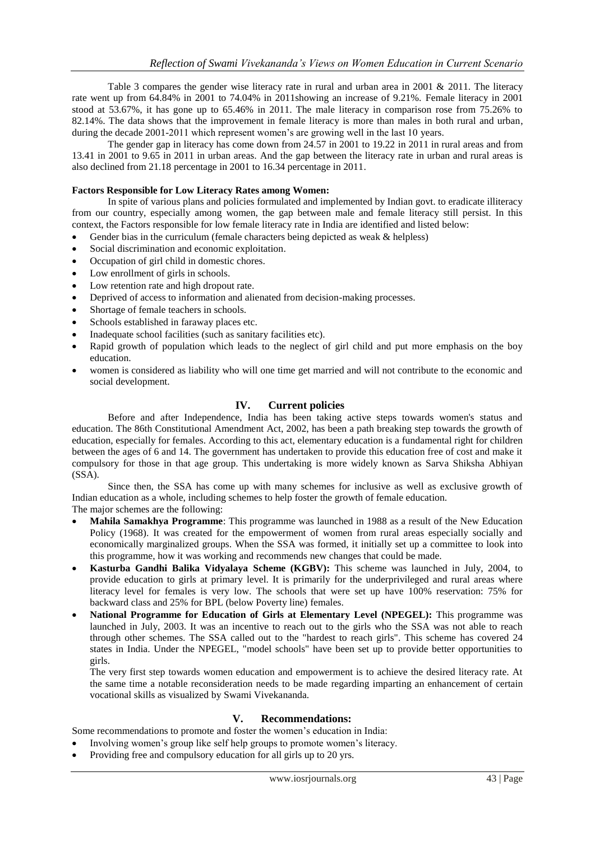Table 3 compares the gender wise literacy rate in rural and urban area in 2001 & 2011. The literacy rate went up from 64.84% in 2001 to 74.04% in 2011showing an increase of 9.21%. Female literacy in 2001 stood at 53.67%, it has gone up to 65.46% in 2011. The male literacy in comparison rose from 75.26% to 82.14%. The data shows that the improvement in female literacy is more than males in both rural and urban, during the decade 2001-2011 which represent women's are growing well in the last 10 years.

The gender gap in literacy has come down from 24.57 in 2001 to 19.22 in 2011 in rural areas and from 13.41 in 2001 to 9.65 in 2011 in urban areas. And the gap between the literacy rate in urban and rural areas is also declined from 21.18 percentage in 2001 to 16.34 percentage in 2011.

## **Factors Responsible for Low Literacy Rates among Women:**

In spite of various plans and policies formulated and implemented by Indian govt. to eradicate illiteracy from our country, especially among women, the gap between male and female literacy still persist. In this context, the Factors responsible for low female literacy rate in India are identified and listed below:

- Gender bias in the curriculum (female characters being depicted as weak & helpless)
- Social discrimination and economic exploitation.
- Occupation of girl child in domestic chores.
- Low enrollment of girls in schools.
- Low retention rate and high dropout rate.
- Deprived of access to information and alienated from decision-making processes.
- Shortage of female teachers in schools.
- Schools established in faraway places etc.
- Inadequate school facilities (such as sanitary facilities etc).
- Rapid growth of population which leads to the neglect of girl child and put more emphasis on the boy education.
- women is considered as liability who will one time get married and will not contribute to the economic and social development.

# **IV. Current policies**

Before and after Independence, India has been taking active steps towards women's status and education. The 86th Constitutional Amendment Act, 2002, has been a path breaking step towards the growth of education, especially for females. According to this act, elementary education is a fundamental right for children between the ages of 6 and 14. The government has undertaken to provide this education free of cost and make it compulsory for those in that age group. This undertaking is more widely known as Sarva Shiksha Abhiyan (SSA).

Since then, the SSA has come up with many schemes for inclusive as well as exclusive growth of Indian education as a whole, including schemes to help foster the growth of female education. The major schemes are the following:

- **Mahila Samakhya Programme**: This programme was launched in 1988 as a result of the New Education Policy (1968). It was created for the empowerment of women from rural areas especially socially and economically marginalized groups. When the SSA was formed, it initially set up a committee to look into this programme, how it was working and recommends new changes that could be made.
- **Kasturba Gandhi Balika Vidyalaya Scheme (KGBV):** This scheme was launched in July, 2004, to provide education to girls at primary level. It is primarily for the underprivileged and rural areas where literacy level for females is very low. The schools that were set up have 100% reservation: 75% for backward class and 25% for BPL (below Poverty line) females.
- **National Programme for Education of Girls at Elementary Level (NPEGEL):** This programme was launched in July, 2003. It was an incentive to reach out to the girls who the SSA was not able to reach through other schemes. The SSA called out to the "hardest to reach girls". This scheme has covered 24 states in India. Under the NPEGEL, "model schools" have been set up to provide better opportunities to girls.

The very first step towards women education and empowerment is to achieve the desired literacy rate. At the same time a notable reconsideration needs to be made regarding imparting an enhancement of certain vocational skills as visualized by Swami Vivekananda.

### **V. Recommendations:**

Some recommendations to promote and foster the women's education in India:

- Involving women's group like self help groups to promote women's literacy.
- Providing free and compulsory education for all girls up to 20 yrs.